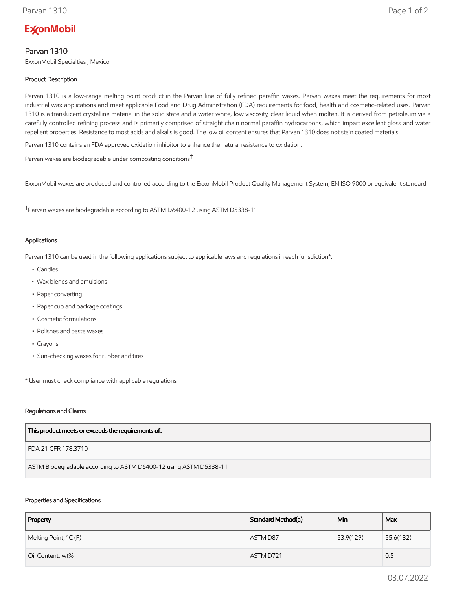# **ExconMobil**

# Parvan 1310

ExxonMobil Specialties , Mexico

## Product Description

Parvan 1310 is a low-range melting point product in the Parvan line of fully refined paraffin waxes. Parvan waxes meet the requirements for most industrial wax applications and meet applicable Food and Drug Administration (FDA) requirements for food, health and cosmetic-related uses. Parvan 1310 is a translucent crystalline material in the solid state and a water white, low viscosity, clear liquid when molten. It is derived from petroleum via a carefully controlled refining process and is primarily comprised of straight chain normal paraffin hydrocarbons, which impart excellent gloss and water repellent properties. Resistance to most acids and alkalis is good. The low oil content ensures that Parvan 1310 does not stain coated materials.

Parvan 1310 contains an FDA approved oxidation inhibitor to enhance the natural resistance to oxidation.

Parvan waxes are biodegradable under composting conditions†

ExxonMobil waxes are produced and controlled according to the ExxonMobil Product Quality Management System, EN ISO 9000 or equivalent standard

†Parvan waxes are biodegradable according to ASTM D6400-12 using ASTM D5338-11

#### Applications

Parvan 1310 can be used in the following applications subject to applicable laws and regulations in each jurisdiction\*:

- Candles
- Wax blends and emulsions
- Paper converting
- Paper cup and package coatings
- Cosmetic formulations
- Polishes and paste waxes
- Crayons
- Sun-checking waxes for rubber and tires

\* User must check compliance with applicable regulations

#### Regulations and Claims

FDA 21 CFR 178.3710

ASTM Biodegradable according to ASTM D6400-12 using ASTM D5338-11

#### Properties and Specifications

| Property              | Standard Method(a) | Min       | Max       |
|-----------------------|--------------------|-----------|-----------|
| Melting Point, °C (F) | ASTM D87           | 53.9(129) | 55.6(132) |
| Oil Content, wt%      | ASTM D721          |           | 0.5       |